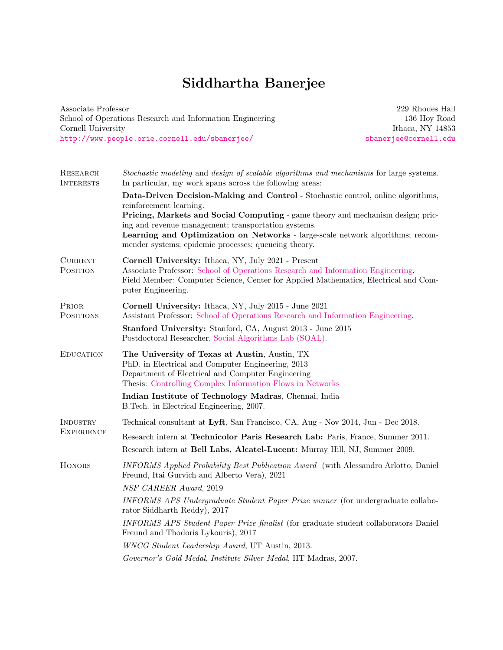Associate Professor School of Operations Research and Information Engineering Cornell University <http://www.people.orie.cornell.edu/sbanerjee/>

229 Rhodes Hall 136 Hoy Road Ithaca, NY 14853 <sbanerjee@cornell.edu>

| RESEARCH<br><b>INTERESTS</b>  | Stochastic modeling and design of scalable algorithms and mechanisms for large systems.<br>In particular, my work spans across the following areas:                                                                                                                              |
|-------------------------------|----------------------------------------------------------------------------------------------------------------------------------------------------------------------------------------------------------------------------------------------------------------------------------|
|                               | Data-Driven Decision-Making and Control - Stochastic control, online algorithms,<br>reinforcement learning.                                                                                                                                                                      |
|                               | Pricing, Markets and Social Computing - game theory and mechanism design; pric-<br>ing and revenue management; transportation systems.<br>Learning and Optimization on Networks - large-scale network algorithms; recom-<br>mender systems; epidemic processes; queueing theory. |
| $_{\rm{CURRENT}}$<br>POSITION | Cornell University: Ithaca, NY, July 2021 - Present<br>Associate Professor: School of Operations Research and Information Engineering.<br>Field Member: Computer Science, Center for Applied Mathematics, Electrical and Com-<br>puter Engineering.                              |
| PRIOR<br><b>POSITIONS</b>     | Cornell University: Ithaca, NY, July 2015 - June 2021<br>Assistant Professor: School of Operations Research and Information Engineering.                                                                                                                                         |
|                               | <b>Stanford University:</b> Stanford, CA, August 2013 - June 2015<br>Postdoctoral Researcher, Social Algorithms Lab (SOAL).                                                                                                                                                      |
| <b>EDUCATION</b>              | The University of Texas at Austin, Austin, TX<br>PhD. in Electrical and Computer Engineering, 2013<br>Department of Electrical and Computer Engineering<br>Thesis: Controlling Complex Information Flows in Networks                                                             |
|                               | Indian Institute of Technology Madras, Chennai, India<br>B. Tech. in Electrical Engineering, 2007.                                                                                                                                                                               |
| INDUSTRY                      | Technical consultant at Lyft, San Francisco, CA, Aug - Nov 2014, Jun - Dec 2018.                                                                                                                                                                                                 |
| <b>EXPERIENCE</b>             | Research intern at Technicolor Paris Research Lab: Paris, France, Summer 2011.<br>Research intern at Bell Labs, Alcatel-Lucent: Murray Hill, NJ, Summer 2009.                                                                                                                    |
| <b>HONORS</b>                 | INFORMS Applied Probability Best Publication Award (with Alessandro Arlotto, Daniel<br>Freund, Itai Gurvich and Alberto Vera), 2021                                                                                                                                              |
|                               | NSF CAREER Award, 2019                                                                                                                                                                                                                                                           |
|                               | INFORMS APS Undergraduate Student Paper Prize winner (for undergraduate collabo-<br>rator Siddharth Reddy), 2017                                                                                                                                                                 |
|                               | INFORMS APS Student Paper Prize finalist (for graduate student collaborators Daniel<br>Freund and Thodoris Lykouris), 2017                                                                                                                                                       |
|                               | WNCG Student Leadership Award, UT Austin, 2013.                                                                                                                                                                                                                                  |
|                               | Governor's Gold Medal, Institute Silver Medal, IIT Madras, 2007.                                                                                                                                                                                                                 |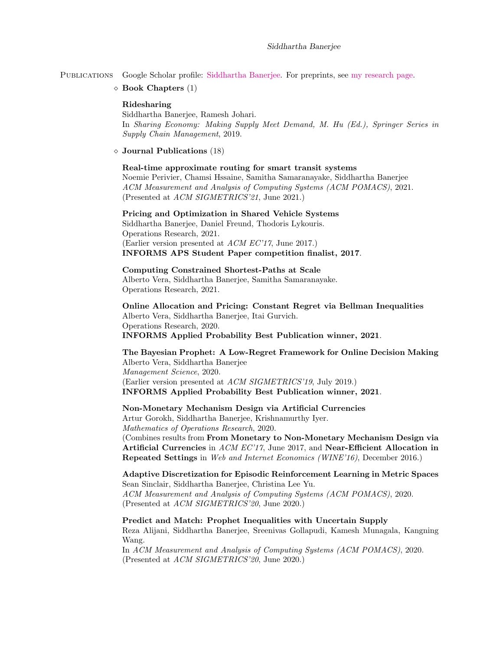Publications Google Scholar profile: [Siddhartha Banerjee.](https://scholar.google.com/citations?user=_kqpoHIAAAAJ&hl=en) For preprints, see [my research page.](http://people.orie.cornell.edu/sbanerjee/research.html)

 $\diamond$  Book Chapters (1)

## Ridesharing

Siddhartha Banerjee, Ramesh Johari. In Sharing Economy: Making Supply Meet Demand, M. Hu (Ed.), Springer Series in Supply Chain Management, 2019.

Journal Publications (18)

## Real-time approximate routing for smart transit systems

Noemie Perivier, Chamsi Hssaine, Samitha Samaranayake, Siddhartha Banerjee ACM Measurement and Analysis of Computing Systems (ACM POMACS), 2021. (Presented at ACM SIGMETRICS'21, June 2021.)

Pricing and Optimization in Shared Vehicle Systems Siddhartha Banerjee, Daniel Freund, Thodoris Lykouris. Operations Research, 2021. (Earlier version presented at ACM EC'17, June 2017.)

INFORMS APS Student Paper competition finalist, 2017.

# Computing Constrained Shortest-Paths at Scale

Alberto Vera, Siddhartha Banerjee, Samitha Samaranayake. Operations Research, 2021.

Online Allocation and Pricing: Constant Regret via Bellman Inequalities Alberto Vera, Siddhartha Banerjee, Itai Gurvich. Operations Research, 2020. INFORMS Applied Probability Best Publication winner, 2021.

The Bayesian Prophet: A Low-Regret Framework for Online Decision Making Alberto Vera, Siddhartha Banerjee Management Science, 2020. (Earlier version presented at ACM SIGMETRICS'19, July 2019.) INFORMS Applied Probability Best Publication winner, 2021.

## Non-Monetary Mechanism Design via Artificial Currencies

Artur Gorokh, Siddhartha Banerjee, Krishnamurthy Iyer.

Mathematics of Operations Research, 2020.

(Combines results from From Monetary to Non-Monetary Mechanism Design via Artificial Currencies in ACM EC'17, June 2017, and Near-Efficient Allocation in Repeated Settings in Web and Internet Economics (WINE'16), December 2016.)

Adaptive Discretization for Episodic Reinforcement Learning in Metric Spaces Sean Sinclair, Siddhartha Banerjee, Christina Lee Yu.

ACM Measurement and Analysis of Computing Systems (ACM POMACS), 2020. (Presented at ACM SIGMETRICS'20, June 2020.)

Predict and Match: Prophet Inequalities with Uncertain Supply Reza Alijani, Siddhartha Banerjee, Sreenivas Gollapudi, Kamesh Munagala, Kangning Wang.

In ACM Measurement and Analysis of Computing Systems (ACM POMACS), 2020. (Presented at ACM SIGMETRICS'20, June 2020.)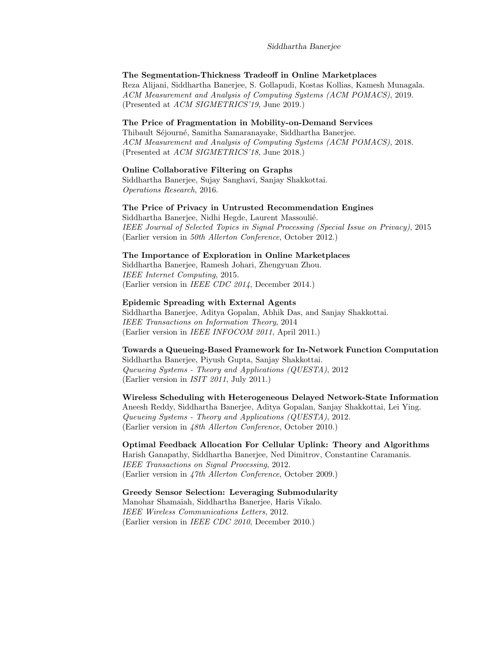### The Segmentation-Thickness Tradeoff in Online Marketplaces

Reza Alijani, Siddhartha Banerjee, S. Gollapudi, Kostas Kollias, Kamesh Munagala. ACM Measurement and Analysis of Computing Systems (ACM POMACS), 2019. (Presented at ACM SIGMETRICS'19, June 2019.)

#### The Price of Fragmentation in Mobility-on-Demand Services

Thibault Séjourné, Samitha Samaranayake, Siddhartha Banerjee. ACM Measurement and Analysis of Computing Systems (ACM POMACS), 2018. (Presented at ACM SIGMETRICS'18, June 2018.)

## Online Collaborative Filtering on Graphs

Siddhartha Banerjee, Sujay Sanghavi, Sanjay Shakkottai. Operations Research, 2016.

## The Price of Privacy in Untrusted Recommendation Engines

Siddhartha Banerjee, Nidhi Hegde, Laurent Massoulié. IEEE Journal of Selected Topics in Signal Processing (Special Issue on Privacy), 2015 (Earlier version in 50th Allerton Conference, October 2012.)

#### The Importance of Exploration in Online Marketplaces

Siddhartha Banerjee, Ramesh Johari, Zhengyuan Zhou. IEEE Internet Computing, 2015. (Earlier version in IEEE CDC 2014, December 2014.)

## Epidemic Spreading with External Agents

Siddhartha Banerjee, Aditya Gopalan, Abhik Das, and Sanjay Shakkottai. IEEE Transactions on Information Theory, 2014 (Earlier version in IEEE INFOCOM 2011, April 2011.)

## Towards a Queueing-Based Framework for In-Network Function Computation Siddhartha Banerjee, Piyush Gupta, Sanjay Shakkottai. Queueing Systems - Theory and Applications (QUESTA), 2012

(Earlier version in ISIT 2011, July 2011.)

Wireless Scheduling with Heterogeneous Delayed Network-State Information Aneesh Reddy, Siddhartha Banerjee, Aditya Gopalan, Sanjay Shakkottai, Lei Ying. Queueing Systems - Theory and Applications (QUESTA), 2012. (Earlier version in 48th Allerton Conference, October 2010.)

## Optimal Feedback Allocation For Cellular Uplink: Theory and Algorithms

Harish Ganapathy, Siddhartha Banerjee, Ned Dimitrov, Constantine Caramanis. IEEE Transactions on Signal Processing, 2012. (Earlier version in 47th Allerton Conference, October 2009.)

## Greedy Sensor Selection: Leveraging Submodularity

Manohar Shamaiah, Siddhartha Banerjee, Haris Vikalo. IEEE Wireless Communications Letters, 2012. (Earlier version in IEEE CDC 2010, December 2010.)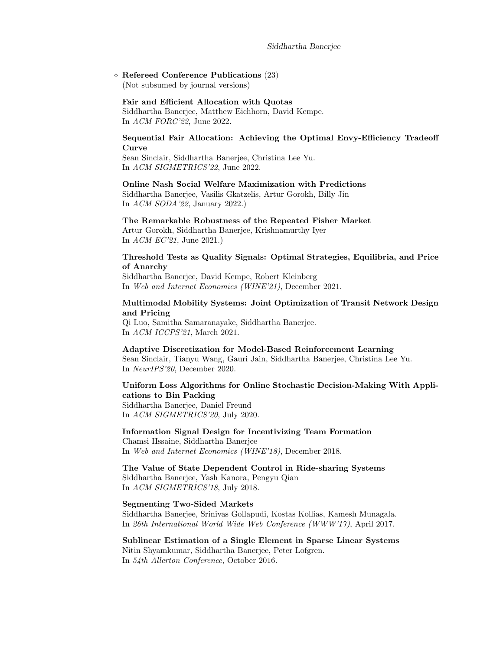$\diamond$  Refereed Conference Publications (23)

(Not subsumed by journal versions)

#### Fair and Efficient Allocation with Quotas

Siddhartha Banerjee, Matthew Eichhorn, David Kempe. In ACM FORC'22, June 2022.

## Sequential Fair Allocation: Achieving the Optimal Envy-Efficiency Tradeoff Curve

Sean Sinclair, Siddhartha Banerjee, Christina Lee Yu. In ACM SIGMETRICS'22, June 2022.

Online Nash Social Welfare Maximization with Predictions Siddhartha Banerjee, Vasilis Gkatzelis, Artur Gorokh, Billy Jin In ACM SODA'22, January 2022.)

#### The Remarkable Robustness of the Repeated Fisher Market

Artur Gorokh, Siddhartha Banerjee, Krishnamurthy Iyer In ACM EC'21, June 2021.)

## Threshold Tests as Quality Signals: Optimal Strategies, Equilibria, and Price of Anarchy

Siddhartha Banerjee, David Kempe, Robert Kleinberg In Web and Internet Economics (WINE'21), December 2021.

## Multimodal Mobility Systems: Joint Optimization of Transit Network Design and Pricing

Qi Luo, Samitha Samaranayake, Siddhartha Banerjee. In ACM ICCPS'21, March 2021.

#### Adaptive Discretization for Model-Based Reinforcement Learning

Sean Sinclair, Tianyu Wang, Gauri Jain, Siddhartha Banerjee, Christina Lee Yu. In NeurIPS'20, December 2020.

# Uniform Loss Algorithms for Online Stochastic Decision-Making With Applications to Bin Packing Siddhartha Banerjee, Daniel Freund

In ACM SIGMETRICS'20, July 2020.

## Information Signal Design for Incentivizing Team Formation Chamsi Hssaine, Siddhartha Banerjee In Web and Internet Economics (WINE'18), December 2018.

The Value of State Dependent Control in Ride-sharing Systems Siddhartha Banerjee, Yash Kanora, Pengyu Qian In ACM SIGMETRICS'18, July 2018.

#### Segmenting Two-Sided Markets

Siddhartha Banerjee, Srinivas Gollapudi, Kostas Kollias, Kamesh Munagala. In 26th International World Wide Web Conference (WWW'17), April 2017.

Sublinear Estimation of a Single Element in Sparse Linear Systems Nitin Shyamkumar, Siddhartha Banerjee, Peter Lofgren. In 54th Allerton Conference, October 2016.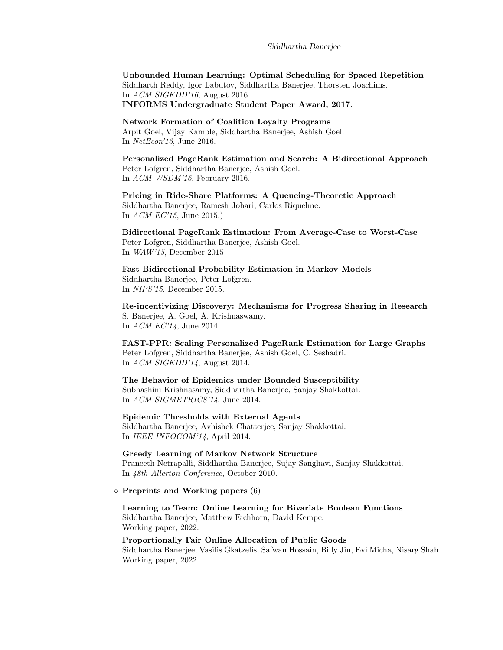Unbounded Human Learning: Optimal Scheduling for Spaced Repetition Siddharth Reddy, Igor Labutov, Siddhartha Banerjee, Thorsten Joachims. In ACM SIGKDD'16, August 2016. INFORMS Undergraduate Student Paper Award, 2017.

Network Formation of Coalition Loyalty Programs Arpit Goel, Vijay Kamble, Siddhartha Banerjee, Ashish Goel. In NetEcon'16, June 2016.

Personalized PageRank Estimation and Search: A Bidirectional Approach Peter Lofgren, Siddhartha Banerjee, Ashish Goel. In ACM WSDM'16, February 2016.

Pricing in Ride-Share Platforms: A Queueing-Theoretic Approach Siddhartha Banerjee, Ramesh Johari, Carlos Riquelme. In ACM EC'15, June 2015.)

Bidirectional PageRank Estimation: From Average-Case to Worst-Case Peter Lofgren, Siddhartha Banerjee, Ashish Goel. In WAW'15, December 2015

Fast Bidirectional Probability Estimation in Markov Models Siddhartha Banerjee, Peter Lofgren. In NIPS'15, December 2015.

Re-incentivizing Discovery: Mechanisms for Progress Sharing in Research S. Banerjee, A. Goel, A. Krishnaswamy. In ACM EC'14, June 2014.

FAST-PPR: Scaling Personalized PageRank Estimation for Large Graphs Peter Lofgren, Siddhartha Banerjee, Ashish Goel, C. Seshadri. In ACM SIGKDD'14, August 2014.

The Behavior of Epidemics under Bounded Susceptibility Subhashini Krishnasamy, Siddhartha Banerjee, Sanjay Shakkottai. In ACM SIGMETRICS'14, June 2014.

Epidemic Thresholds with External Agents Siddhartha Banerjee, Avhishek Chatterjee, Sanjay Shakkottai. In IEEE INFOCOM'14, April 2014.

Greedy Learning of Markov Network Structure Praneeth Netrapalli, Siddhartha Banerjee, Sujay Sanghavi, Sanjay Shakkottai. In 48th Allerton Conference, October 2010.

 $\diamond$  Preprints and Working papers (6)

Learning to Team: Online Learning for Bivariate Boolean Functions Siddhartha Banerjee, Matthew Eichhorn, David Kempe. Working paper, 2022.

#### Proportionally Fair Online Allocation of Public Goods

Siddhartha Banerjee, Vasilis Gkatzelis, Safwan Hossain, Billy Jin, Evi Micha, Nisarg Shah Working paper, 2022.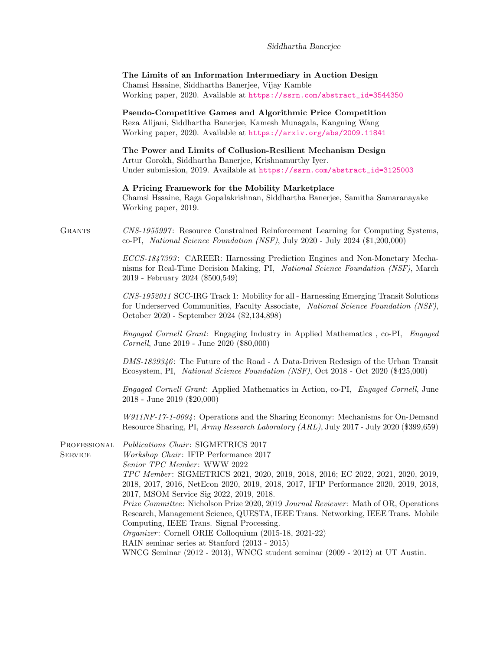|                                | The Limits of an Information Intermediary in Auction Design<br>Chamsi Hssaine, Siddhartha Banerjee, Vijay Kamble<br>Working paper, 2020. Available at https://ssrn.com/abstract_id=3544350                                                                                                                                                                                                                                                                                                                                                                                                                                                                                                                                                                                 |
|--------------------------------|----------------------------------------------------------------------------------------------------------------------------------------------------------------------------------------------------------------------------------------------------------------------------------------------------------------------------------------------------------------------------------------------------------------------------------------------------------------------------------------------------------------------------------------------------------------------------------------------------------------------------------------------------------------------------------------------------------------------------------------------------------------------------|
|                                | Pseudo-Competitive Games and Algorithmic Price Competition<br>Reza Alijani, Siddhartha Banerjee, Kamesh Munagala, Kangning Wang<br>Working paper, 2020. Available at https://arxiv.org/abs/2009.11841                                                                                                                                                                                                                                                                                                                                                                                                                                                                                                                                                                      |
|                                | The Power and Limits of Collusion-Resilient Mechanism Design<br>Artur Gorokh, Siddhartha Banerjee, Krishnamurthy Iyer.<br>Under submission, 2019. Available at https://ssrn.com/abstract_id=3125003                                                                                                                                                                                                                                                                                                                                                                                                                                                                                                                                                                        |
|                                | A Pricing Framework for the Mobility Marketplace<br>Chamsi Hssaine, Raga Gopalakrishnan, Siddhartha Banerjee, Samitha Samaranayake<br>Working paper, 2019.                                                                                                                                                                                                                                                                                                                                                                                                                                                                                                                                                                                                                 |
| <b>GRANTS</b>                  | CNS-1955997: Resource Constrained Reinforcement Learning for Computing Systems,<br>co-PI, National Science Foundation (NSF), July 2020 - July 2024 (\$1,200,000)                                                                                                                                                                                                                                                                                                                                                                                                                                                                                                                                                                                                           |
|                                | ECCS-1847393: CAREER: Harnessing Prediction Engines and Non-Monetary Mecha-<br>nisms for Real-Time Decision Making, PI, National Science Foundation (NSF), March<br>2019 - February 2024 (\$500,549)                                                                                                                                                                                                                                                                                                                                                                                                                                                                                                                                                                       |
|                                | CNS-1952011 SCC-IRG Track 1: Mobility for all - Harnessing Emerging Transit Solutions<br>for Underserved Communities, Faculty Associate, National Science Foundation (NSF),<br>October 2020 - September 2024 (\$2,134,898)                                                                                                                                                                                                                                                                                                                                                                                                                                                                                                                                                 |
|                                | <i>Engaged Cornell Grant:</i> Engaging Industry in Applied Mathematics, co-PI, Engaged<br>Cornell, June 2019 - June 2020 (\$80,000)                                                                                                                                                                                                                                                                                                                                                                                                                                                                                                                                                                                                                                        |
|                                | $DMS-1839346$ : The Future of the Road - A Data-Driven Redesign of the Urban Transit<br>Ecosystem, PI, National Science Foundation (NSF), Oct 2018 - Oct 2020 (\$425,000)                                                                                                                                                                                                                                                                                                                                                                                                                                                                                                                                                                                                  |
|                                | <i>Engaged Cornell Grant:</i> Applied Mathematics in Action, co-PI, <i>Engaged Cornell</i> , June<br>$2018$ - June $2019$ (\$20,000)                                                                                                                                                                                                                                                                                                                                                                                                                                                                                                                                                                                                                                       |
|                                | $W911NF-17-1-0094$ : Operations and the Sharing Economy: Mechanisms for On-Demand<br>Resource Sharing, PI, Army Research Laboratory (ARL), July 2017 - July 2020 (\$399,659)                                                                                                                                                                                                                                                                                                                                                                                                                                                                                                                                                                                               |
| Professional<br><b>SERVICE</b> | <i>Publications Chair: SIGMETRICS 2017</i><br>Workshop Chair: IFIP Performance 2017<br>Senior TPC Member: WWW 2022<br>TPC Member: SIGMETRICS 2021, 2020, 2019, 2018, 2016; EC 2022, 2021, 2020, 2019,<br>2018, 2017, 2016, NetEcon 2020, 2019, 2018, 2017, IFIP Performance 2020, 2019, 2018,<br>2017, MSOM Service Sig 2022, 2019, 2018.<br><i>Prize Committee:</i> Nicholson Prize 2020, 2019 <i>Journal Reviewer:</i> Math of OR, Operations<br>Research, Management Science, QUESTA, IEEE Trans. Networking, IEEE Trans. Mobile<br>Computing, IEEE Trans. Signal Processing.<br>Organizer: Cornell ORIE Colloquium (2015-18, 2021-22)<br>RAIN seminar series at Stanford (2013 - 2015)<br>WNCG Seminar (2012 - 2013), WNCG student seminar (2009 - 2012) at UT Austin. |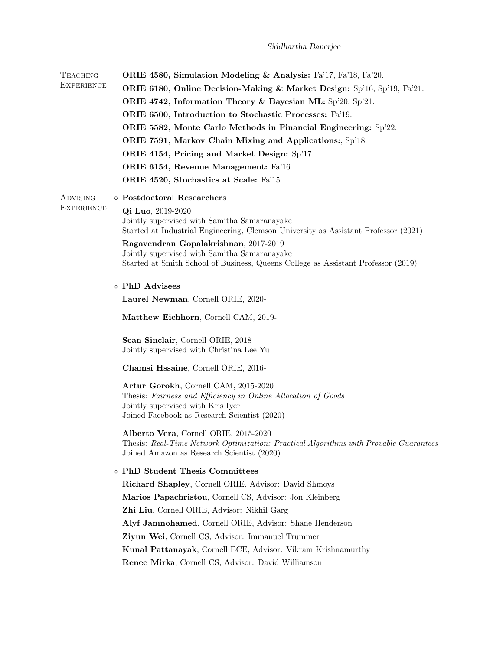| <b>TEACHING</b>   | <b>ORIE 4580, Simulation Modeling &amp; Analysis:</b> Fa'17, Fa'18, Fa'20.                                                          |
|-------------------|-------------------------------------------------------------------------------------------------------------------------------------|
| <b>EXPERIENCE</b> | ORIE 6180, Online Decision-Making & Market Design: $Sp'16$ , $Sp'19$ , $Fa'21$ .                                                    |
|                   | ORIE 4742, Information Theory & Bayesian ML: Sp'20, Sp'21.                                                                          |
|                   | ORIE 6500, Introduction to Stochastic Processes: Fa'19.                                                                             |
|                   | ORIE 5582, Monte Carlo Methods in Financial Engineering: Sp'22.                                                                     |
|                   | ORIE 7591, Markov Chain Mixing and Applications:, Sp'18.                                                                            |
|                   | ORIE 4154, Pricing and Market Design: Sp'17.                                                                                        |
|                   | ORIE 6154, Revenue Management: Fa'16.                                                                                               |
|                   | ORIE 4520, Stochastics at Scale: Fa'15.                                                                                             |
| ADVISING          | $\diamond$ Postdoctoral Researchers                                                                                                 |
| <b>EXPERIENCE</b> | Qi Luo, 2019-2020                                                                                                                   |
|                   | Jointly supervised with Samitha Samaranayake<br>Started at Industrial Engineering, Clemson University as Assistant Professor (2021) |
|                   | Ragavendran Gopalakrishnan, 2017-2019                                                                                               |
|                   | Jointly supervised with Samitha Samaranayake<br>Started at Smith School of Business, Queens College as Assistant Professor (2019)   |
|                   |                                                                                                                                     |
|                   | $\diamond$ PhD Advisees                                                                                                             |
|                   | Laurel Newman, Cornell ORIE, 2020-                                                                                                  |
|                   | Matthew Eichhorn, Cornell CAM, 2019-                                                                                                |
|                   | Sean Sinclair, Cornell ORIE, 2018-<br>Jointly supervised with Christina Lee Yu                                                      |
|                   | Chamsi Hssaine, Cornell ORIE, 2016-                                                                                                 |
|                   | Artur Gorokh, Cornell CAM, 2015-2020                                                                                                |
|                   | Thesis: Fairness and Efficiency in Online Allocation of Goods                                                                       |
|                   | Jointly supervised with Kris Iyer<br>Joined Facebook as Research Scientist (2020)                                                   |
|                   |                                                                                                                                     |
|                   | Alberto Vera, Cornell ORIE, 2015-2020                                                                                               |
|                   | Thesis: Real-Time Network Optimization: Practical Algorithms with Provable Guarantees<br>Joined Amazon as Research Scientist (2020) |
|                   | ◇ PhD Student Thesis Committees                                                                                                     |
|                   | Richard Shapley, Cornell ORIE, Advisor: David Shmoys                                                                                |
|                   | Marios Papachristou, Cornell CS, Advisor: Jon Kleinberg                                                                             |
|                   | Zhi Liu, Cornell ORIE, Advisor: Nikhil Garg                                                                                         |
|                   | Alyf Janmohamed, Cornell ORIE, Advisor: Shane Henderson                                                                             |
|                   | Ziyun Wei, Cornell CS, Advisor: Immanuel Trummer                                                                                    |
|                   | Kunal Pattanayak, Cornell ECE, Advisor: Vikram Krishnamurthy                                                                        |
|                   | Renee Mirka, Cornell CS, Advisor: David Williamson                                                                                  |
|                   |                                                                                                                                     |
|                   |                                                                                                                                     |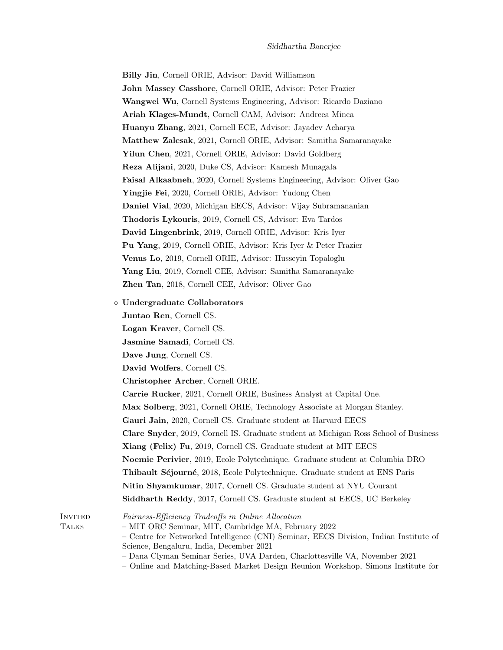| Billy Jin, Cornell ORIE, Advisor: David Williamson                       |
|--------------------------------------------------------------------------|
| John Massey Casshore, Cornell ORIE, Advisor: Peter Frazier               |
| Wangwei Wu, Cornell Systems Engineering, Advisor: Ricardo Daziano        |
| Ariah Klages-Mundt, Cornell CAM, Advisor: Andreea Minca                  |
| <b>Huanyu Zhang</b> , 2021, Cornell ECE, Advisor: Jayadev Acharya        |
| Matthew Zalesak, 2021, Cornell ORIE, Advisor: Samitha Samaranayake       |
| Yilun Chen, 2021, Cornell ORIE, Advisor: David Goldberg                  |
| <b>Reza Alijani</b> , 2020, Duke CS, Advisor: Kamesh Munagala            |
| Faisal Alkaabneh, 2020, Cornell Systems Engineering, Advisor: Oliver Gao |
| <b>Yingjie Fei</b> , 2020, Cornell ORIE, Advisor: Yudong Chen            |
| Daniel Vial, 2020, Michigan EECS, Advisor: Vijay Subramananian           |
| <b>Thodoris Lykouris</b> , 2019, Cornell CS, Advisor: Eva Tardos         |
| David Lingenbrink, 2019, Cornell ORIE, Advisor: Kris Iyer                |
| <b>Pu Yang</b> , 2019, Cornell ORIE, Advisor: Kris Iyer & Peter Frazier  |
| Venus Lo, 2019, Cornell ORIE, Advisor: Husseyin Topaloglu                |
| <b>Yang Liu</b> , 2019, Cornell CEE, Advisor: Samitha Samaranayake       |
| <b>Zhen Tan</b> , 2018, Cornell CEE, Advisor: Oliver Gao                 |
| $\diamond$ Undergraduate Collaborators                                   |
| Juntao Ren, Cornell CS.                                                  |
| Logan Kraver, Cornell CS.                                                |
| Jasmine Samadi, Cornell CS.                                              |
| Dave Jung, Cornell CS.                                                   |
| David Wolfers, Cornell CS.                                               |

Christopher Archer, Cornell ORIE.

Carrie Rucker, 2021, Cornell ORIE, Business Analyst at Capital One. Max Solberg, 2021, Cornell ORIE, Technology Associate at Morgan Stanley. Gauri Jain, 2020, Cornell CS. Graduate student at Harvard EECS Clare Snyder, 2019, Cornell IS. Graduate student at Michigan Ross School of Business Xiang (Felix) Fu, 2019, Cornell CS. Graduate student at MIT EECS Noemie Perivier, 2019, Ecole Polytechnique. Graduate student at Columbia DRO Thibault Séjourné, 2018, Ecole Polytechnique. Graduate student at ENS Paris Nitin Shyamkumar, 2017, Cornell CS. Graduate student at NYU Courant Siddharth Reddy, 2017, Cornell CS. Graduate student at EECS, UC Berkeley

Invited Fairness-Efficiency Tradeoffs in Online Allocation

Talks – MIT ORC Seminar, MIT, Cambridge MA, February 2022

– Centre for Networked Intelligence (CNI) Seminar, EECS Division, Indian Institute of Science, Bengaluru, India, December 2021

- Dana Clyman Seminar Series, UVA Darden, Charlottesville VA, November 2021
- Online and Matching-Based Market Design Reunion Workshop, Simons Institute for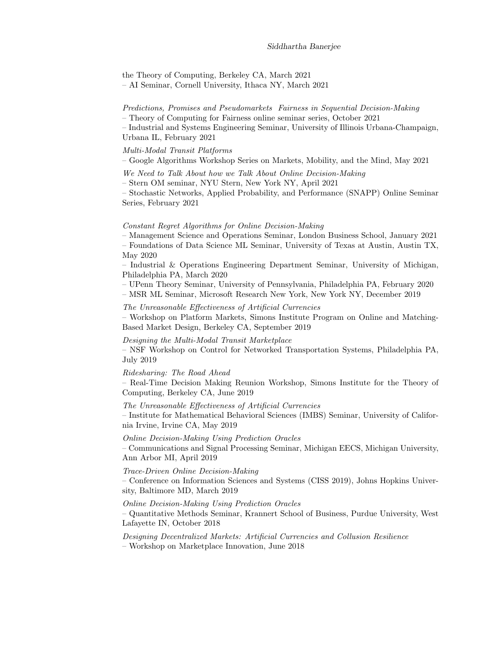the Theory of Computing, Berkeley CA, March 2021

– AI Seminar, Cornell University, Ithaca NY, March 2021

## Predictions, Promises and Pseudomarkets Fairness in Sequential Decision-Making

– Theory of Computing for Fairness online seminar series, October 2021

– Industrial and Systems Engineering Seminar, University of Illinois Urbana-Champaign, Urbana IL, February 2021

## Multi-Modal Transit Platforms

– Google Algorithms Workshop Series on Markets, Mobility, and the Mind, May 2021

We Need to Talk About how we Talk About Online Decision-Making

– Stern OM seminar, NYU Stern, New York NY, April 2021

– Stochastic Networks, Applied Probability, and Performance (SNAPP) Online Seminar Series, February 2021

## Constant Regret Algorithms for Online Decision-Making

– Management Science and Operations Seminar, London Business School, January 2021 – Foundations of Data Science ML Seminar, University of Texas at Austin, Austin TX, May 2020

– Industrial & Operations Engineering Department Seminar, University of Michigan, Philadelphia PA, March 2020

– UPenn Theory Seminar, University of Pennsylvania, Philadelphia PA, February 2020

– MSR ML Seminar, Microsoft Research New York, New York NY, December 2019

The Unreasonable Effectiveness of Artificial Currencies

– Workshop on Platform Markets, Simons Institute Program on Online and Matching-Based Market Design, Berkeley CA, September 2019

Designing the Multi-Modal Transit Marketplace

– NSF Workshop on Control for Networked Transportation Systems, Philadelphia PA, July 2019

#### Ridesharing: The Road Ahead

– Real-Time Decision Making Reunion Workshop, Simons Institute for the Theory of Computing, Berkeley CA, June 2019

#### The Unreasonable Effectiveness of Artificial Currencies

– Institute for Mathematical Behavioral Sciences (IMBS) Seminar, University of California Irvine, Irvine CA, May 2019

Online Decision-Making Using Prediction Oracles – Communications and Signal Processing Seminar, Michigan EECS, Michigan University,

Ann Arbor MI, April 2019

#### Trace-Driven Online Decision-Making

– Conference on Information Sciences and Systems (CISS 2019), Johns Hopkins University, Baltimore MD, March 2019

#### Online Decision-Making Using Prediction Oracles

– Quantitative Methods Seminar, Krannert School of Business, Purdue University, West Lafayette IN, October 2018

Designing Decentralized Markets: Artificial Currencies and Collusion Resilience

– Workshop on Marketplace Innovation, June 2018